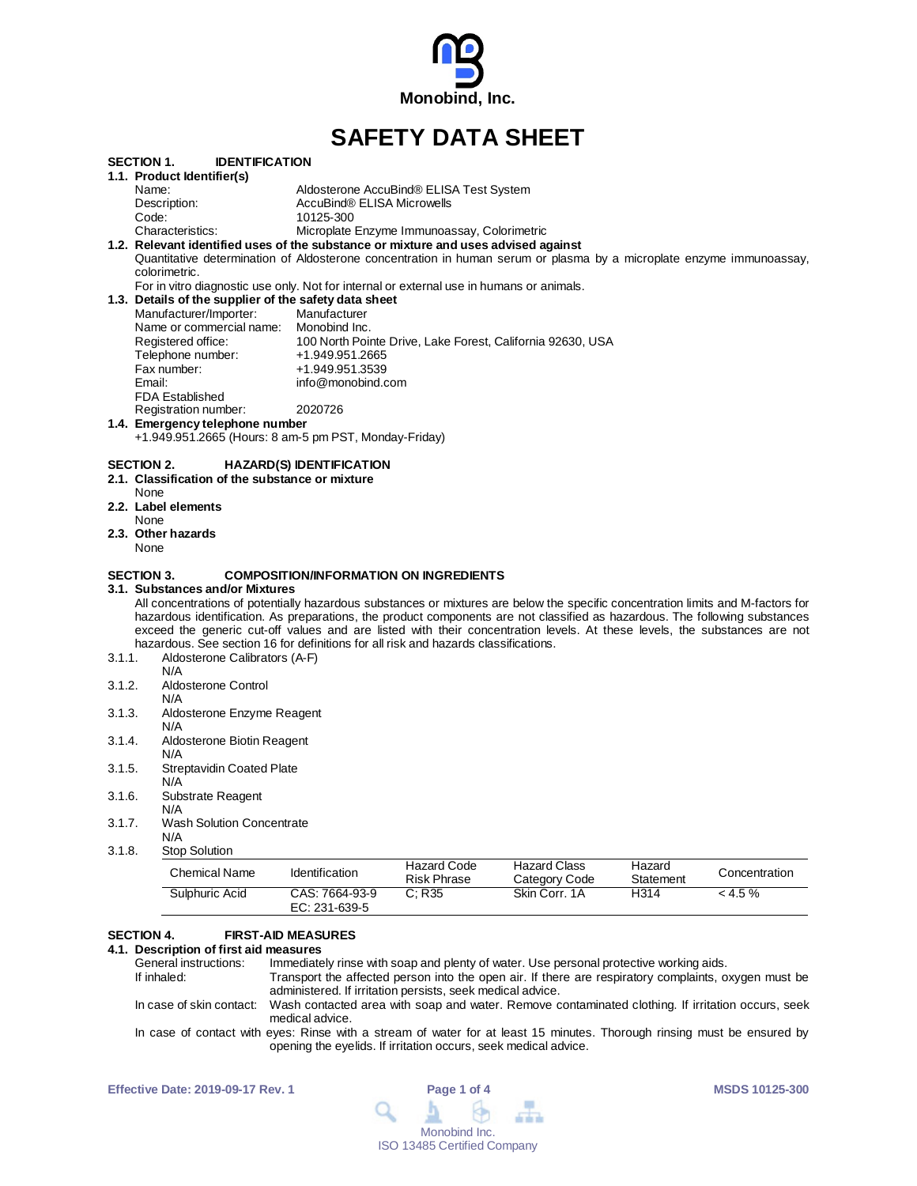

# **SAFETY DATA SHEET**

|                   | Sulphuric Acid                                                                                                                                                                                                                                           | CAS: 7664-93-9                                | C: R35                                      | Skin Corr. 1A                                              | H314      | < 4.5 %       |
|-------------------|----------------------------------------------------------------------------------------------------------------------------------------------------------------------------------------------------------------------------------------------------------|-----------------------------------------------|---------------------------------------------|------------------------------------------------------------|-----------|---------------|
|                   | <b>Chemical Name</b>                                                                                                                                                                                                                                     | <b>Identification</b>                         | <b>Risk Phrase</b>                          | Category Code                                              | Statement | Concentration |
|                   |                                                                                                                                                                                                                                                          |                                               | <b>Hazard Code</b>                          | <b>Hazard Class</b>                                        | Hazard    |               |
| 3.1.8.            | N/A<br><b>Stop Solution</b>                                                                                                                                                                                                                              |                                               |                                             |                                                            |           |               |
| 3.1.7.            | <b>Wash Solution Concentrate</b>                                                                                                                                                                                                                         |                                               |                                             |                                                            |           |               |
| 3.1.6.            | Substrate Reagent<br>N/A                                                                                                                                                                                                                                 |                                               |                                             |                                                            |           |               |
|                   | N/A                                                                                                                                                                                                                                                      |                                               |                                             |                                                            |           |               |
| 3.1.5.            | <b>Streptavidin Coated Plate</b>                                                                                                                                                                                                                         |                                               |                                             |                                                            |           |               |
| 3.1.4.            | Aldosterone Biotin Reagent<br>N/A                                                                                                                                                                                                                        |                                               |                                             |                                                            |           |               |
|                   | N/A                                                                                                                                                                                                                                                      |                                               |                                             |                                                            |           |               |
| 3.1.3.            | Aldosterone Enzyme Reagent                                                                                                                                                                                                                               |                                               |                                             |                                                            |           |               |
| 3.1.2.            | Aldosterone Control<br>N/A                                                                                                                                                                                                                               |                                               |                                             |                                                            |           |               |
|                   | N/A                                                                                                                                                                                                                                                      |                                               |                                             |                                                            |           |               |
| 3.1.1.            | Aldosterone Calibrators (A-F)                                                                                                                                                                                                                            |                                               |                                             |                                                            |           |               |
|                   | hazardous. See section 16 for definitions for all risk and hazards classifications.                                                                                                                                                                      |                                               |                                             |                                                            |           |               |
|                   | hazardous identification. As preparations, the product components are not classified as hazardous. The following substances<br>exceed the generic cut-off values and are listed with their concentration levels. At these levels, the substances are not |                                               |                                             |                                                            |           |               |
|                   | All concentrations of potentially hazardous substances or mixtures are below the specific concentration limits and M-factors for                                                                                                                         |                                               |                                             |                                                            |           |               |
|                   | 3.1.Substances and/or Mixtures                                                                                                                                                                                                                           |                                               |                                             |                                                            |           |               |
| <b>SECTION 3.</b> |                                                                                                                                                                                                                                                          | <b>COMPOSITION/INFORMATION ON INGREDIENTS</b> |                                             |                                                            |           |               |
| None              |                                                                                                                                                                                                                                                          |                                               |                                             |                                                            |           |               |
|                   | 2.3. Other hazards                                                                                                                                                                                                                                       |                                               |                                             |                                                            |           |               |
| None              |                                                                                                                                                                                                                                                          |                                               |                                             |                                                            |           |               |
| None              | 2.2. Label elements                                                                                                                                                                                                                                      |                                               |                                             |                                                            |           |               |
|                   | 2.1. Classification of the substance or mixture                                                                                                                                                                                                          |                                               |                                             |                                                            |           |               |
| SECTION 2.        |                                                                                                                                                                                                                                                          | <b>HAZARD(S) IDENTIFICATION</b>               |                                             |                                                            |           |               |
|                   |                                                                                                                                                                                                                                                          |                                               |                                             |                                                            |           |               |
|                   | 1.4. Emergency telephone number<br>+1.949.951.2665 (Hours: 8 am-5 pm PST, Monday-Friday)                                                                                                                                                                 |                                               |                                             |                                                            |           |               |
|                   | Registration number:                                                                                                                                                                                                                                     | 2020726                                       |                                             |                                                            |           |               |
|                   | <b>FDA Established</b>                                                                                                                                                                                                                                   |                                               |                                             |                                                            |           |               |
| Email:            |                                                                                                                                                                                                                                                          | info@monobind.com                             |                                             |                                                            |           |               |
|                   | Fax number:                                                                                                                                                                                                                                              | +1.949.951.3539                               |                                             |                                                            |           |               |
|                   | Registered office:<br>Telephone number:                                                                                                                                                                                                                  | +1.949.951.2665                               |                                             | 100 North Pointe Drive, Lake Forest, California 92630, USA |           |               |
|                   | Name or commercial name:                                                                                                                                                                                                                                 | Monobind Inc.                                 |                                             |                                                            |           |               |
|                   | Manufacturer/Importer:                                                                                                                                                                                                                                   | Manufacturer                                  |                                             |                                                            |           |               |
|                   | 1.3. Details of the supplier of the safety data sheet                                                                                                                                                                                                    |                                               |                                             |                                                            |           |               |
|                   | For in vitro diagnostic use only. Not for internal or external use in humans or animals.                                                                                                                                                                 |                                               |                                             |                                                            |           |               |
|                   | Quantitative determination of Aldosterone concentration in human serum or plasma by a microplate enzyme immunoassay,<br>colorimetric.                                                                                                                    |                                               |                                             |                                                            |           |               |
|                   | 1.2. Relevant identified uses of the substance or mixture and uses advised against                                                                                                                                                                       |                                               |                                             |                                                            |           |               |
|                   | Characteristics:                                                                                                                                                                                                                                         |                                               | Microplate Enzyme Immunoassay, Colorimetric |                                                            |           |               |
|                   | Code:                                                                                                                                                                                                                                                    | 10125-300                                     |                                             |                                                            |           |               |
|                   |                                                                                                                                                                                                                                                          | AccuBind® ELISA Microwells                    |                                             |                                                            |           |               |
| Name:             | Description:                                                                                                                                                                                                                                             |                                               | Aldosterone AccuBind® ELISA Test System     |                                                            |           |               |

# **SECTION 4. FIRST-AID MEASURES**

EC: 231-639-5

**4.1. Description of first aid measures** General instructions: Immediately rinse with soap and plenty of water. Use personal protective working aids.<br>If inhaled: Transport the affected person into the open air. If there are respiratory complaints, o Transport the affected person into the open air. If there are respiratory complaints, oxygen must be administered. If irritation persists, seek medical advice. In case of skin contact: Wash contacted area with soap and water. Remove contaminated clothing. If irritation occurs, seek medical advice. In case of contact with eyes: Rinse with a stream of water for at least 15 minutes. Thorough rinsing must be ensured by opening the eyelids. If irritation occurs, seek medical advice.

| <b>Effective Date: 2019-09-17 Rev. 1</b> | Page 1 of 4                                                                                                                                                                                                                                                                                                                                                                                                                            | <b>MSDS 10125-300</b> |
|------------------------------------------|----------------------------------------------------------------------------------------------------------------------------------------------------------------------------------------------------------------------------------------------------------------------------------------------------------------------------------------------------------------------------------------------------------------------------------------|-----------------------|
|                                          | $\begin{array}{ccccccccccccccccc} \mathbf{Q} & \mathbf{A} & \mathbf{B} & \mathbf{B} & \mathbf{B} & \mathbf{B} & \mathbf{B} & \mathbf{B} & \mathbf{B} & \mathbf{B} & \mathbf{B} & \mathbf{B} & \mathbf{B} & \mathbf{B} & \mathbf{B} & \mathbf{B} & \mathbf{B} & \mathbf{B} & \mathbf{B} & \mathbf{B} & \mathbf{B} & \mathbf{B} & \mathbf{B} & \mathbf{B} & \mathbf{B} & \mathbf{B} & \mathbf{B} & \mathbf{B} & \mathbf{B} & \mathbf{B}$ |                       |
|                                          | Monobind Inc.                                                                                                                                                                                                                                                                                                                                                                                                                          |                       |
|                                          | <b>ISO 13485 Certified Company</b>                                                                                                                                                                                                                                                                                                                                                                                                     |                       |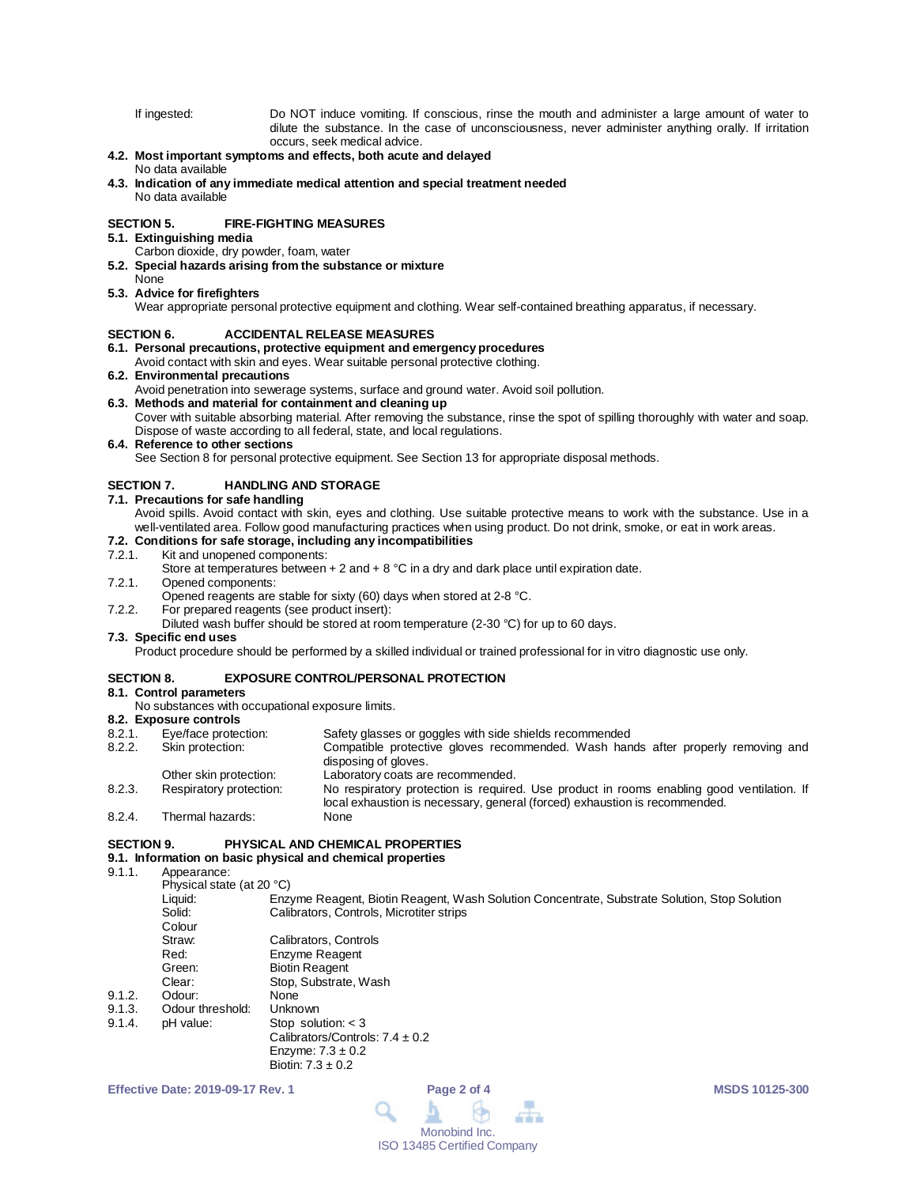If ingested: Do NOT induce vomiting. If conscious, rinse the mouth and administer a large amount of water to dilute the substance. In the case of unconsciousness, never administer anything orally. If irritation occurs, seek medical advice.

# **4.2. Most important symptoms and effects, both acute and delayed**

#### No data available

**4.3. Indication of any immediate medical attention and special treatment needed** No data available

# **SECTION 5. FIRE-FIGHTING MEASURES**

# **5.1. Extinguishing media**

- Carbon dioxide, dry powder, foam, water
- **5.2. Special hazards arising from the substance or mixture**

#### None **5.3. Advice for firefighters**

Wear appropriate personal protective equipment and clothing. Wear self-contained breathing apparatus, if necessary.

#### **SECTION 6. ACCIDENTAL RELEASE MEASURES**

**6.1. Personal precautions, protective equipment and emergency procedures**

# Avoid contact with skin and eyes. Wear suitable personal protective clothing.

# **6.2. Environmental precautions**

Avoid penetration into sewerage systems, surface and ground water. Avoid soil pollution.

# **6.3. Methods and material for containment and cleaning up**

Cover with suitable absorbing material. After removing the substance, rinse the spot of spilling thoroughly with water and soap. Dispose of waste according to all federal, state, and local regulations.

# **6.4. Reference to other sections**

See Section 8 for personal protective equipment. See Section 13 for appropriate disposal methods.

# **SECTION 7. HANDLING AND STORAGE**

#### **7.1. Precautions for safe handling**

Avoid spills. Avoid contact with skin, eyes and clothing. Use suitable protective means to work with the substance. Use in a well-ventilated area. Follow good manufacturing practices when using product. Do not drink, smoke, or eat in work areas.

# **7.2. Conditions for safe storage, including any incompatibilities**

# 7.2.1. Kit and unopened components:

- Store at temperatures between  $+ 2$  and  $+ 8$  °C in a dry and dark place until expiration date.
- 7.2.1. Opened components:

Opened reagents are stable for sixty (60) days when stored at 2-8 °C.

7.2.2. For prepared reagents (see product insert):

#### Diluted wash buffer should be stored at room temperature (2-30 °C) for up to 60 days.

# **7.3. Specific end uses**

Product procedure should be performed by a skilled individual or trained professional for in vitro diagnostic use only.

# **SECTION 8. EXPOSURE CONTROL/PERSONAL PROTECTION**

# **8.1. Control parameters**

No substances with occupational exposure limits.

- **8.2. Exposure controls** 8.2.1. Eye/face protection: Safety glasses or goggles with side shields recommended<br>8.2.2. Skin protection: Compatible protective gloves recommended. Wash han Compatible protective gloves recommended. Wash hands after properly removing and disposing of gloves. Other skin protection: Laboratory coats are recommended.<br>
Respiratory protection: No respiratory protection is require 8.2.3. Respiratory protection: No respiratory protection is required. Use product in rooms enabling good ventilation. If local exhaustion is necessary, general (forced) exhaustion is recommended.
- 8.2.4. Thermal hazards: None

# **SECTION 9. PHYSICAL AND CHEMICAL PROPERTIES**

# **9.1. Information on basic physical and chemical properties**

9.1.1. Appearance:

Physical state (at 20 °C) Liquid: Enzyme Reagent, Biotin Reagent, Wash Solution Concentrate, Substrate Solution, Stop Solution<br>Solid: Calibrators Controls Microtiter strips Calibrators, Controls, Microtiter strips Colour<br>Straw: Straw: Calibrators, Controls<br>
Red: Enzyme Reagent Enzyme Reagent Green: Biotin Reagent<br>Clear: Stop, Substrate Stop, Substrate, Wash<br>None 9.1.2. Odour: None<br>9.1.3. Odour threshold: Unknown 9.1.3. Odour threshold:<br>9.1.4. pH value: Stop solution:  $<$  3 Calibrators/Controls: 7.4 ± 0.2 Enzyme:  $7.3 \pm 0.2$ Biotin:  $7.3 + 0.2$ 

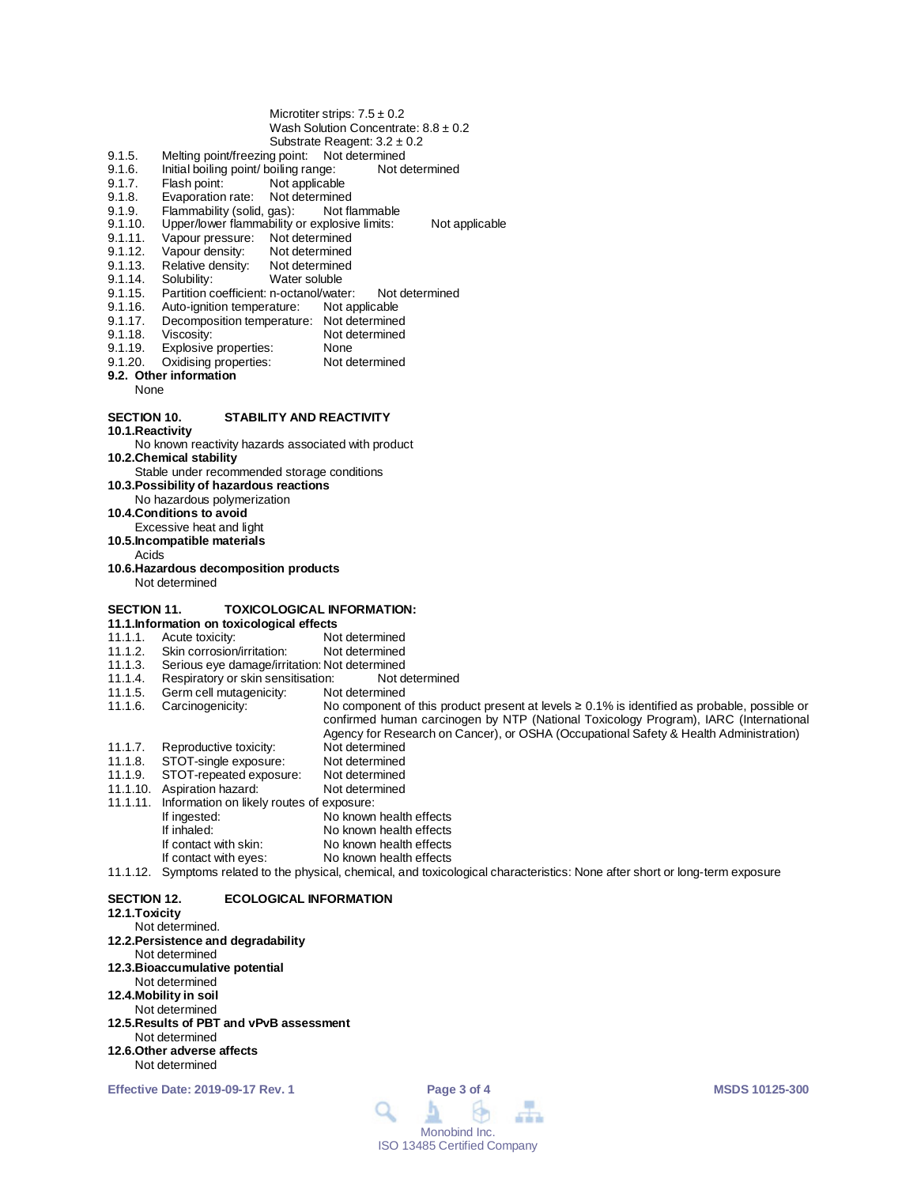#### Microtiter strips:  $7.5 \pm 0.2$ Wash Solution Concentrate:  $8.8 \pm 0.2$ Substrate Reagent: 3.2 ± 0.2

- 9.1.5. Melting point/freezing point: Not determined
- 9.1.6. Initial boiling point/ boiling range: Not determined<br>9.1.7. Flash point: Not applicable
- 9.1.7. Flash point: Not applicable<br>9.1.8. Evaporation rate: Not determine
- 9.1.8. Evaporation rate: Not determined<br>9.1.9. Flammability (solid. gas): Not flammable
- 9.1.9. Flammability (solid, gas):<br>9.1.10. Upper/lower flammability
- 9.1.10. Upper/lower flammability or explosive limits: Not applicable<br>9.1.11. Vapour pressure: Not determined
- 9.1.11. Vapour pressure: Not determined<br>9.1.12. Vapour density: Not determined
- 9.1.12. Vapour density: Not determined<br>9.1.13. Relative density: Not determined
- 9.1.13. Relative density:<br>9.1.14. Solubility:
- 9.1.14. Solubility: Water soluble<br>9.1.15. Partition coefficient: n-octanol/wate
- 9.1.15. Partition coefficient: n-octanol/water: Not determined<br>9.1.16. Auto-ignition temperature: Not applicable
- 9.1.16. Auto-ignition temperature:<br>9.1.17. Decomposition temperature
- 9.1.17. Decomposition temperature: Not determined<br>9.1.18. Viscosity: Not determined
- 9.1.18. Viscosity: Not determined<br>9.1.19. Explosive properties: None
- 
- 9.1.19. Explosive properties: None<br>9.1.20. Oxidising properties: Not determined Oxidising properties:
- **9.2. Other information**
- None

# **SECTION 10. STABILITY AND REACTIVITY**

**10.1.Reactivity**

No known reactivity hazards associated with product

**10.2.Chemical stability**

Stable under recommended storage conditions

**10.3.Possibility of hazardous reactions**

No hazardous polymerization

**10.4.Conditions to avoid**

Excessive heat and light

**10.5.Incompatible materials**

Acids

**10.6.Hazardous decomposition products** Not determined

# **SECTION 11. TOXICOLOGICAL INFORMATION:**

- **11.1.Information on toxicological effects**
- 11.1.1. Acute toxicity: Not determined<br>11.1.2. Skin corrosion/irritation: Not determined
- 11.1.2. Skin corrosion/irritation:<br>11.1.3. Serious eye damage/irrit
- Serious eye damage/irritation: Not determined<br>Respiratory or skin sensitisation: Not determined
- 11.1.4. Respiratory or skin sensitisation: Not d<br>11.1.5. Germ cell mutagenicity: Not determined Germ cell mutagenicity:
- 
- 11.1.6. Carcinogenicity: No component of this product present at levels ≥ 0.1% is identified as probable, possible or confirmed human carcinogen by NTP (National Toxicology Program), IARC (International Agency for Research on Cancer), or OSHA (Occupational Safety & Health Administration) 11.1.7. Reproductive toxicity: Not determined<br>11.1.8. STOT-single exposure: Not determined
- 
- 11.1.8. STOT-single exposure: Not determined<br>11.1.9. STOT-repeated exposure: Not determined STOT-repeated exposure: Not determined<br>Aspiration hazard: Not determined
- 11.1.10. Aspiration hazard:
- 11.1.11. Information on likely routes of exposure:
- If ingested: No known health effects<br>
If inhaled: No known health effects If inhaled: No known health effects<br>If contact with skin: No known health effects If contact with skin: No known health effects<br>If contact with eyes: No known health effects No known health effects
- 11.1.12. Symptoms related to the physical, chemical, and toxicological characteristics: None after short or long-term exposure

#### **SECTION 12. ECOLOGICAL INFORMATION**

# **12.1.Toxicity**

- Not determined. **12.2.Persistence and degradability** Not determined **12.3.Bioaccumulative potential** Not determined **12.4.Mobility in soil** Not determined **12.5.Results of PBT and vPvB assessment** Not determined **12.6.Other adverse affects**
- Not determined